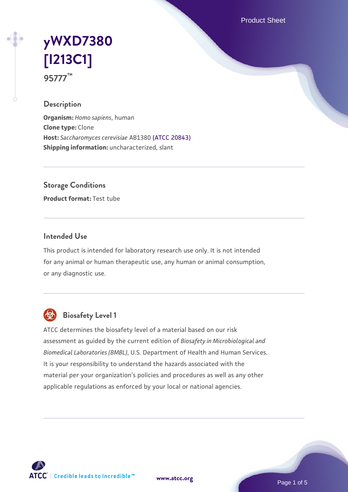Product Sheet

# **[yWXD7380](https://www.atcc.org/products/95777) [\[I213C1\]](https://www.atcc.org/products/95777) 95777™**

## **Description**

**Organism:** *Homo sapiens*, human **Clone type:** Clone **Host:** *Saccharomyces cerevisiae* AB1380 [\(ATCC 20843\)](https://www.atcc.org/products/20843) **Shipping information:** uncharacterized, slant

**Storage Conditions**

**Product format:** Test tube

## **Intended Use**

This product is intended for laboratory research use only. It is not intended for any animal or human therapeutic use, any human or animal consumption, or any diagnostic use.



## **Biosafety Level 1**

ATCC determines the biosafety level of a material based on our risk assessment as guided by the current edition of *Biosafety in Microbiological and Biomedical Laboratories (BMBL)*, U.S. Department of Health and Human Services. It is your responsibility to understand the hazards associated with the material per your organization's policies and procedures as well as any other applicable regulations as enforced by your local or national agencies.

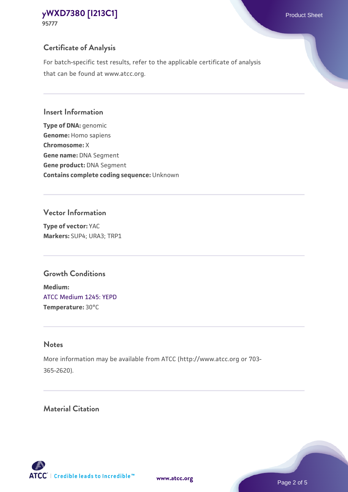## **Certificate of Analysis**

For batch-specific test results, refer to the applicable certificate of analysis that can be found at www.atcc.org.

#### **Insert Information**

**Type of DNA:** genomic **Genome:** Homo sapiens **Chromosome:** X **Gene name:** DNA Segment **Gene product:** DNA Segment **Contains complete coding sequence:** Unknown

#### **Vector Information**

**Type of vector:** YAC **Markers:** SUP4; URA3; TRP1

## **Growth Conditions**

**Medium:**  [ATCC Medium 1245: YEPD](https://www.atcc.org/-/media/product-assets/documents/microbial-media-formulations/1/2/4/5/atcc-medium-1245.pdf?rev=705ca55d1b6f490a808a965d5c072196) **Temperature:** 30°C

## **Notes**

More information may be available from ATCC (http://www.atcc.org or 703- 365-2620).

## **Material Citation**

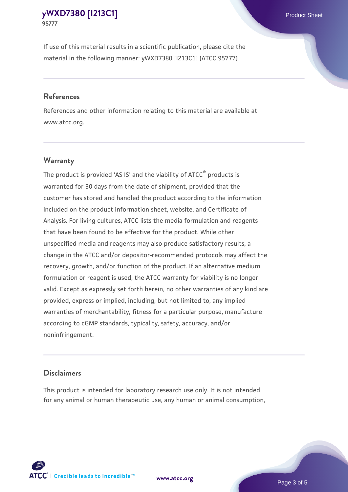If use of this material results in a scientific publication, please cite the material in the following manner: yWXD7380 [I213C1] (ATCC 95777)

#### **References**

References and other information relating to this material are available at www.atcc.org.

## **Warranty**

The product is provided 'AS IS' and the viability of  $ATCC<sup>®</sup>$  products is warranted for 30 days from the date of shipment, provided that the customer has stored and handled the product according to the information included on the product information sheet, website, and Certificate of Analysis. For living cultures, ATCC lists the media formulation and reagents that have been found to be effective for the product. While other unspecified media and reagents may also produce satisfactory results, a change in the ATCC and/or depositor-recommended protocols may affect the recovery, growth, and/or function of the product. If an alternative medium formulation or reagent is used, the ATCC warranty for viability is no longer valid. Except as expressly set forth herein, no other warranties of any kind are provided, express or implied, including, but not limited to, any implied warranties of merchantability, fitness for a particular purpose, manufacture according to cGMP standards, typicality, safety, accuracy, and/or noninfringement.

#### **Disclaimers**

This product is intended for laboratory research use only. It is not intended for any animal or human therapeutic use, any human or animal consumption,





Page 3 of 5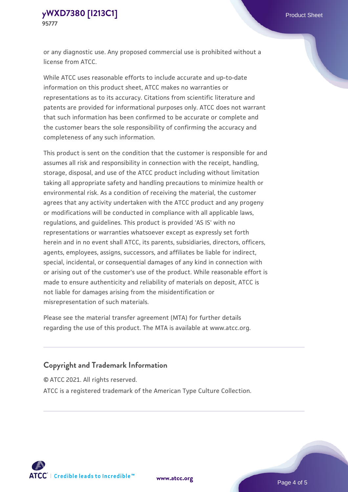or any diagnostic use. Any proposed commercial use is prohibited without a license from ATCC.

While ATCC uses reasonable efforts to include accurate and up-to-date information on this product sheet, ATCC makes no warranties or representations as to its accuracy. Citations from scientific literature and patents are provided for informational purposes only. ATCC does not warrant that such information has been confirmed to be accurate or complete and the customer bears the sole responsibility of confirming the accuracy and completeness of any such information.

This product is sent on the condition that the customer is responsible for and assumes all risk and responsibility in connection with the receipt, handling, storage, disposal, and use of the ATCC product including without limitation taking all appropriate safety and handling precautions to minimize health or environmental risk. As a condition of receiving the material, the customer agrees that any activity undertaken with the ATCC product and any progeny or modifications will be conducted in compliance with all applicable laws, regulations, and guidelines. This product is provided 'AS IS' with no representations or warranties whatsoever except as expressly set forth herein and in no event shall ATCC, its parents, subsidiaries, directors, officers, agents, employees, assigns, successors, and affiliates be liable for indirect, special, incidental, or consequential damages of any kind in connection with or arising out of the customer's use of the product. While reasonable effort is made to ensure authenticity and reliability of materials on deposit, ATCC is not liable for damages arising from the misidentification or misrepresentation of such materials.

Please see the material transfer agreement (MTA) for further details regarding the use of this product. The MTA is available at www.atcc.org.

## **Copyright and Trademark Information**

© ATCC 2021. All rights reserved.

ATCC is a registered trademark of the American Type Culture Collection.



**[www.atcc.org](http://www.atcc.org)**

Page 4 of 5